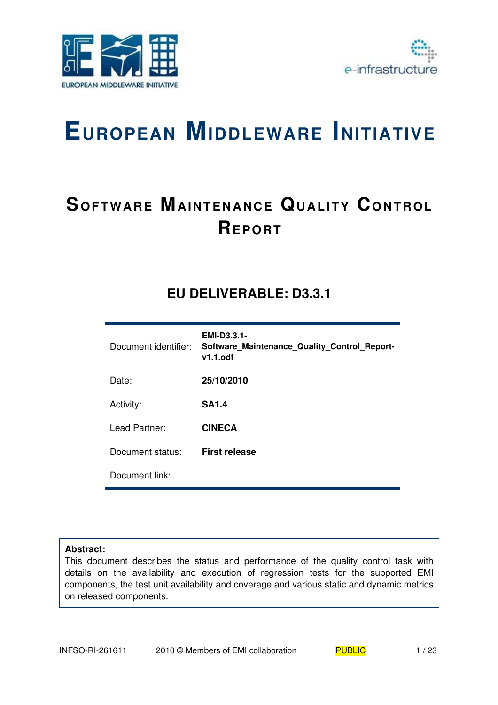



# **EUROPEAN MIDDLEWARE INITIATIVE**

# **SOFTWARE MAINTENANCE QUALITY CONTROL REP O RT**

## **EU DELIVERABLE: D3.3.1**

| Document identifier: | <b>EMI-D3.3.1-</b><br>Software Maintenance Quality Control Report-<br>$v1.1.$ odt |
|----------------------|-----------------------------------------------------------------------------------|
| Date:                | 25/10/2010                                                                        |
| Activity:            | <b>SA1.4</b>                                                                      |
| Lead Partner:        | <b>CINECA</b>                                                                     |
| Document status:     | <b>First release</b>                                                              |
| Document link:       |                                                                                   |

#### **Abstract:**

This document describes the status and performance of the quality control task with details on the availability and execution of regression tests for the supported EMI components, the test unit availability and coverage and various static and dynamic metrics on released components.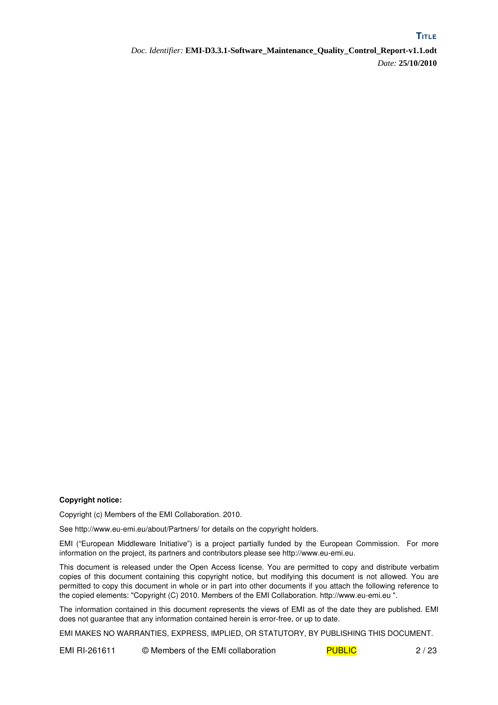**TITLE**

#### **Copyright notice:**

Copyright (c) Members of the EMI Collaboration. 2010.

See http://www.eu-emi.eu/about/Partners/ for details on the copyright holders.

EMI ("European Middleware Initiative") is a project partially funded by the European Commission. For more information on the project, its partners and contributors please see http://www.eu-emi.eu.

This document is released under the Open Access license. You are permitted to copy and distribute verbatim copies of this document containing this copyright notice, but modifying this document is not allowed. You are permitted to copy this document in whole or in part into other documents if you attach the following reference to the copied elements: "Copyright (C) 2010. Members of the EMI Collaboration. http://www.euemi.eu ".

The information contained in this document represents the views of EMI as of the date they are published. EMI does not guarantee that any information contained herein is error-free, or up to date.

EMI MAKES NO WARRANTIES, EXPRESS, IMPLIED, OR STATUTORY, BY PUBLISHING THIS DOCUMENT.

EMI RI-261611 © Members of the EMI collaboration PUBLIC 2/23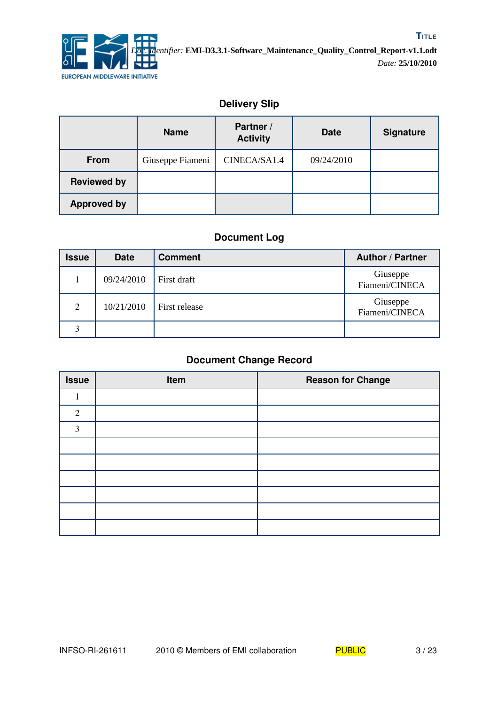

## **Delivery Slip**

|                    | <b>Name</b>      | Partner /<br><b>Activity</b> | <b>Date</b> | <b>Signature</b> |
|--------------------|------------------|------------------------------|-------------|------------------|
| <b>From</b>        | Giuseppe Fiameni | CINECA/SA1.4                 | 09/24/2010  |                  |
| <b>Reviewed by</b> |                  |                              |             |                  |
| <b>Approved by</b> |                  |                              |             |                  |

## **Document Log**

| <b>Issue</b> | <b>Date</b> | <b>Comment</b> | <b>Author / Partner</b>    |
|--------------|-------------|----------------|----------------------------|
|              | 09/24/2010  | First draft    | Giuseppe<br>Fiameni/CINECA |
| 2            | 10/21/2010  | First release  | Giuseppe<br>Fiameni/CINECA |
| 3            |             |                |                            |

## **Document Change Record**

| <b>Issue</b> | Item | <b>Reason for Change</b> |
|--------------|------|--------------------------|
|              |      |                          |
| 2            |      |                          |
| 3            |      |                          |
|              |      |                          |
|              |      |                          |
|              |      |                          |
|              |      |                          |
|              |      |                          |
|              |      |                          |

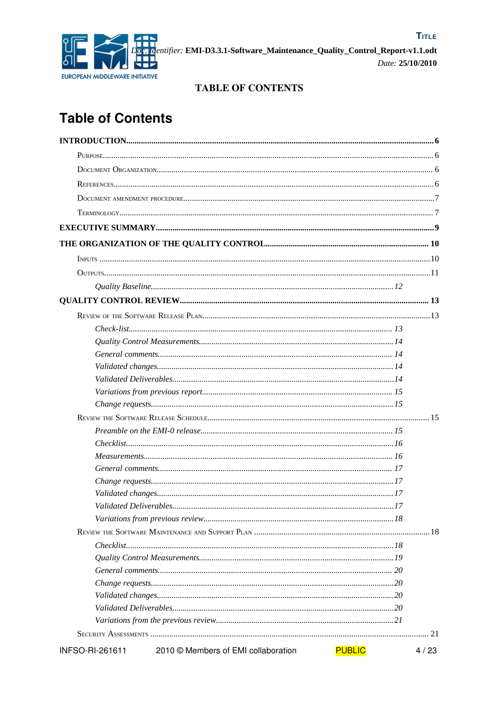

## **TABLE OF CONTENTS**

## **Table of Contents**

| INFSO-RI-261611 | 2010 © Members of EMI collaboration | <b>PUBLIC</b> | 4/23 |
|-----------------|-------------------------------------|---------------|------|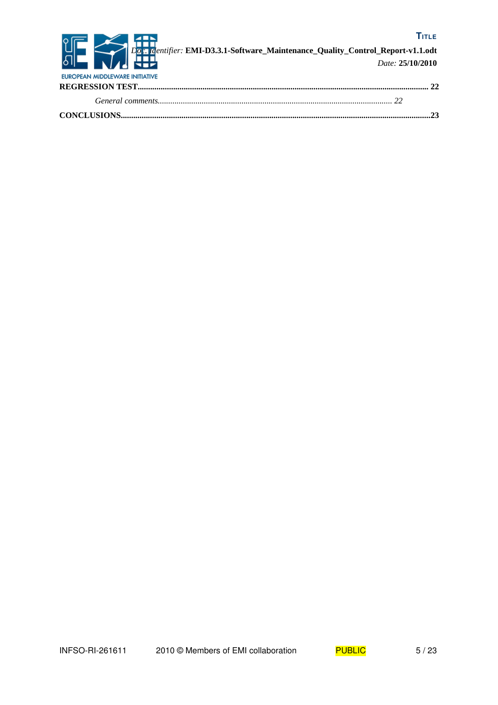

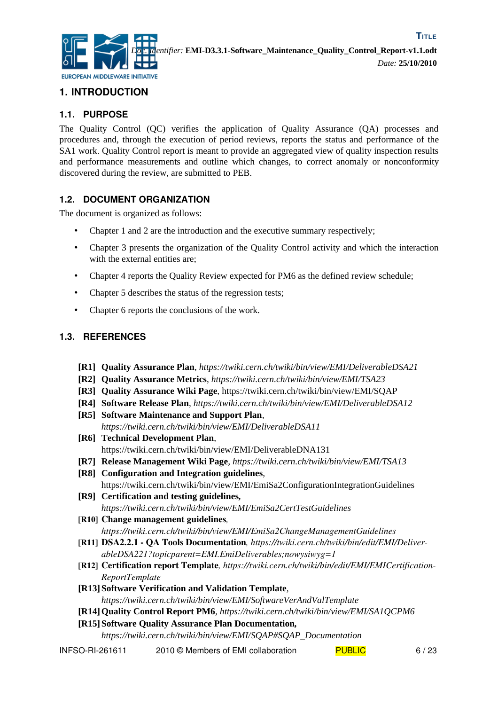

## **1. INTRODUCTION**

## **1.1. PURPOSE**

The Quality Control (QC) verifies the application of Quality Assurance (QA) processes and procedures and, through the execution of period reviews, reports the status and performance of the SA1 work. Quality Control report is meant to provide an aggregated view of quality inspection results and performance measurements and outline which changes, to correct anomaly or nonconformity discovered during the review, are submitted to PEB.

## **1.2. DOCUMENT ORGANIZATION**

The document is organized as follows:

- Chapter 1 and 2 are the introduction and the executive summary respectively;
- Chapter 3 presents the organization of the Quality Control activity and which the interaction with the external entities are;
- Chapter 4 reports the Quality Review expected for PM6 as the defined review schedule;
- Chapter 5 describes the status of the regression tests;
- Chapter 6 reports the conclusions of the work.

## **1.3. REFERENCES**

- <span id="page-5-1"></span>**[R1] Quality Assurance Plan**, *https://twiki.cern.ch/twiki/bin/view/EMI/DeliverableDSA21*
- **[R2] Quality Assurance Metrics**, *https://twiki.cern.ch/twiki/bin/view/EMI/TSA23*
- **[R3] Quality Assurance Wiki Page**, https://twiki.cern.ch/twiki/bin/view/EMI/SQAP
- <span id="page-5-2"></span>**[R4] Software Release Plan**, *https://twiki.cern.ch/twiki/bin/view/EMI/DeliverableDSA12*
- <span id="page-5-8"></span>**[R5] Software Maintenance and Support Plan**, *https://twiki.cern.ch/twiki/bin/view/EMI/DeliverableDSA11*
- <span id="page-5-7"></span>**[R6] Technical Development Plan**, https://twiki.cern.ch/twiki/bin/view/EMI/DeliverableDNA131
- <span id="page-5-4"></span>**[R7] Release Management Wiki Page***, https://twiki.cern.ch/twiki/bin/view/EMI/TSA13*
- <span id="page-5-3"></span>**[R8] Configuration and Integration guidelines***,* https://twiki.cern.ch/twiki/bin/view/EMI/EmiSa2ConfigurationIntegrationGuidelines
- <span id="page-5-12"></span>**[R9] Certification and testing guidelines***, https://twiki.cern.ch/twiki/bin/view/EMI/EmiSa2CertTestGuidelines*
- <span id="page-5-5"></span>[R10] Change management guidelines*, https://twiki.cern.ch/twiki/bin/view/EMI/EmiSa2ChangeManagementGuidelines*
- <span id="page-5-9"></span>[R11] DSA2.2.1 QA Tools Documentation*, https://twiki.cern.ch/twiki/bin/edit/EMI/DeliverableDSA221?topicparent=EMI.EmiDeliverables;nowysiwyg=1*
- <span id="page-5-11"></span>[R12] Certification report Template*, https://twiki.cern.ch/twiki/bin/edit/EMI/EMICertification-ReportTemplate*
- <span id="page-5-10"></span>**[R13] Software Verification and Validation Template***, https://twiki.cern.ch/twiki/bin/view/EMI/SoftwareVerAndValTemplate*
- <span id="page-5-0"></span>**[R14]Quality Control Report PM6***, https://twiki.cern.ch/twiki/bin/view/EMI/SA1QCPM6*
- **[R15] Software Quality Assurance Plan Documentation***,*

<span id="page-5-6"></span>*https://twiki.cern.ch/twiki/bin/view/EMI/SQAP#SQAP\_Documentation*

INFSO-RI-261611 2010 © Members of EMI collaboration PUBLIC 6/23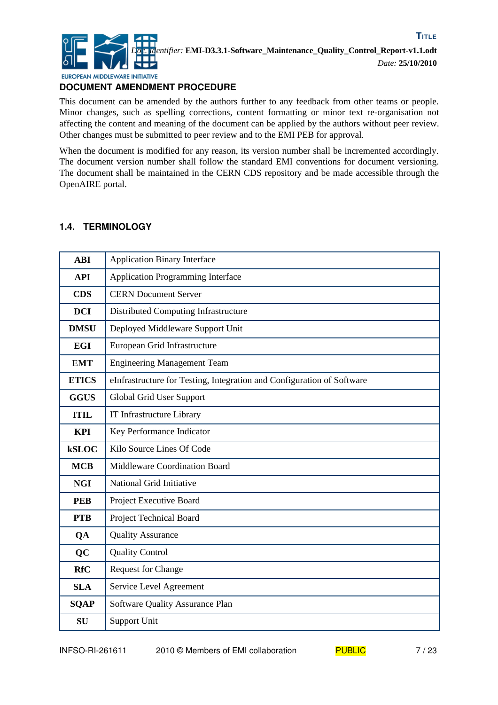

## **DOCUMENT AMENDMENT PROCEDURE**

This document can be amended by the authors further to any feedback from other teams or people. Minor changes, such as spelling corrections, content formatting or minor text re-organisation not affecting the content and meaning of the document can be applied by the authors without peer review. Other changes must be submitted to peer review and to the EMI PEB for approval.

When the document is modified for any reason, its version number shall be incremented accordingly. The document version number shall follow the standard EMI conventions for document versioning. The document shall be maintained in the CERN CDS repository and be made accessible through the OpenAIRE portal.

#### **1.4. TERMINOLOGY**

| <b>ABI</b>   | <b>Application Binary Interface</b>                                    |
|--------------|------------------------------------------------------------------------|
| <b>API</b>   | <b>Application Programming Interface</b>                               |
| <b>CDS</b>   | <b>CERN Document Server</b>                                            |
| <b>DCI</b>   | Distributed Computing Infrastructure                                   |
| <b>DMSU</b>  | Deployed Middleware Support Unit                                       |
| <b>EGI</b>   | European Grid Infrastructure                                           |
| <b>EMT</b>   | <b>Engineering Management Team</b>                                     |
| <b>ETICS</b> | eInfrastructure for Testing, Integration and Configuration of Software |
| <b>GGUS</b>  | Global Grid User Support                                               |
| <b>ITIL</b>  | IT Infrastructure Library                                              |
| <b>KPI</b>   | Key Performance Indicator                                              |
| <b>kSLOC</b> | Kilo Source Lines Of Code                                              |
| <b>MCB</b>   | Middleware Coordination Board                                          |
| <b>NGI</b>   | National Grid Initiative                                               |
| <b>PEB</b>   | Project Executive Board                                                |
| <b>PTB</b>   | <b>Project Technical Board</b>                                         |
| QA           | <b>Quality Assurance</b>                                               |
| <b>QC</b>    | <b>Quality Control</b>                                                 |
| <b>RfC</b>   | <b>Request for Change</b>                                              |
| <b>SLA</b>   | Service Level Agreement                                                |
| <b>SQAP</b>  | Software Quality Assurance Plan                                        |
| <b>SU</b>    | Support Unit                                                           |

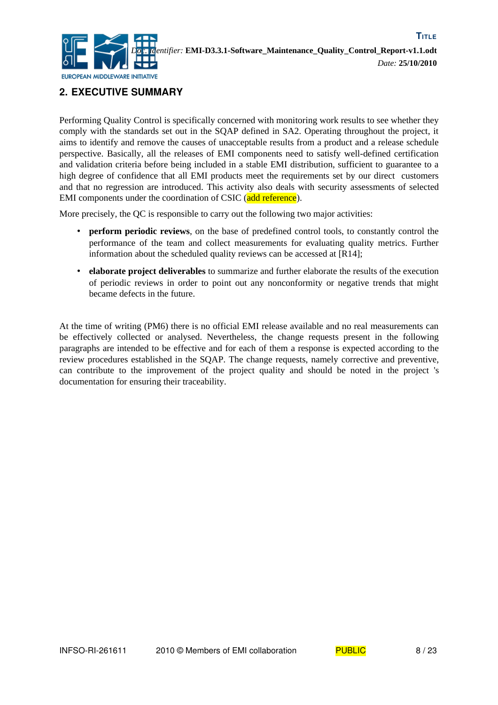

## **2. EXECUTIVE SUMMARY**

Performing Quality Control is specifically concerned with monitoring work results to see whether they comply with the standards set out in the SQAP defined in SA2. Operating throughout the project, it aims to identify and remove the causes of unacceptable results from a product and a release schedule perspective. Basically, all the releases of EMI components need to satisfy well-defined certification and validation criteria before being included in a stable EMI distribution, sufficient to guarantee to a high degree of confidence that all EMI products meet the requirements set by our direct customers and that no regression are introduced. This activity also deals with security assessments of selected EMI components under the coordination of CSIC (add reference).

More precisely, the QC is responsible to carry out the following two major activities:

- **perform periodic reviews**, on the base of predefined control tools, to constantly control the performance of the team and collect measurements for evaluating quality metrics. Further information about the scheduled quality reviews can be accessed at [\[R14\];](#page-5-0)
- **elaborate project deliverables** to summarize and further elaborate the results of the execution of periodic reviews in order to point out any nonconformity or negative trends that might became defects in the future.

At the time of writing (PM6) there is no official EMI release available and no real measurements can be effectively collected or analysed. Nevertheless, the change requests present in the following paragraphs are intended to be effective and for each of them a response is expected according to the review procedures established in the SQAP. The change requests, namely corrective and preventive, can contribute to the improvement of the project quality and should be noted in the project 's documentation for ensuring their traceability.

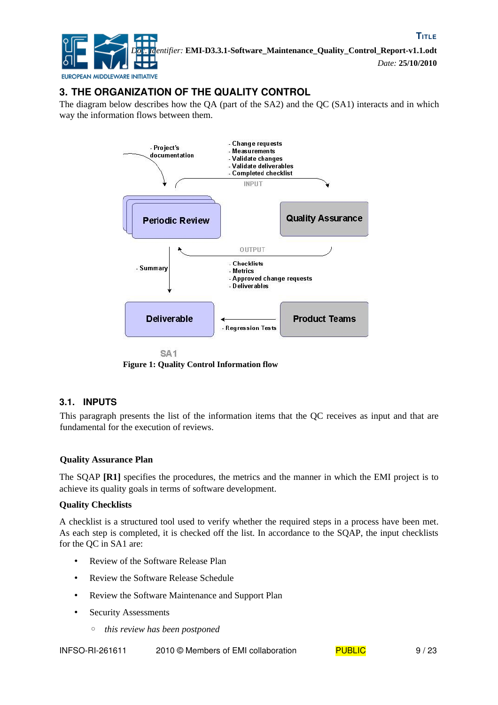

## **3. THE ORGANIZATION OF THE QUALITY CONTROL**

The diagram below describes how the QA (part of the SA2) and the QC (SA1) interacts and in which way the information flows between them.



**Figure 1: Quality Control Information flow**

## **3.1. INPUTS**

This paragraph presents the list of the information items that the QC receives as input and that are fundamental for the execution of reviews.

#### **Quality Assurance Plan**

The SQAP **[\[R1\]](#page-5-1)** specifies the procedures, the metrics and the manner in which the EMI project is to achieve its quality goals in terms of software development.

#### **Quality Checklists**

A checklist is a structured tool used to verify whether the required steps in a process have been met. As each step is completed, it is checked off the list. In accordance to the SQAP, the input checklists for the QC in SA1 are:

- Review of the Software Release Plan
- Review the Software Release Schedule
- Review the Software Maintenance and Support Plan
- Security Assessments
	- *this review has been postponed*

INFSO-RI-261611 2010 © Members of EMI collaboration  $PUBLIC$  9/23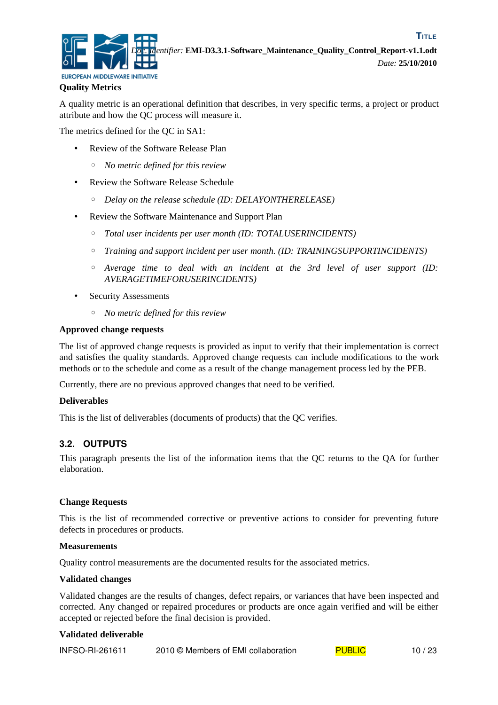

**TITLE**

#### **Quality Metrics**

A quality metric is an operational definition that describes, in very specific terms, a project or product attribute and how the QC process will measure it.

The metrics defined for the QC in SA1:

- Review of the Software Release Plan
	- *No metric defined for this review*
- Review the Software Release Schedule
	- *Delay on the release schedule (ID: DELAYONTHERELEASE)*
- Review the Software Maintenance and Support Plan
	- *Total user incidents per user month (ID: TOTALUSERINCIDENTS)*
	- *Training and support incident per user month. (ID: TRAININGSUPPORTINCIDENTS)*
	- *Average time to deal with an incident at the 3rd level of user support (ID: AVERAGETIMEFORUSERINCIDENTS)*
- Security Assessments
	- *No metric defined for this review*

#### **Approved change requests**

The list of approved change requests is provided as input to verify that their implementation is correct and satisfies the quality standards. Approved change requests can include modifications to the work methods or to the schedule and come as a result of the change management process led by the PEB.

Currently, there are no previous approved changes that need to be verified.

#### **Deliverables**

This is the list of deliverables (documents of products) that the QC verifies.

#### **3.2. OUTPUTS**

This paragraph presents the list of the information items that the QC returns to the QA for further elaboration.

#### **Change Requests**

This is the list of recommended corrective or preventive actions to consider for preventing future defects in procedures or products.

#### **Measurements**

Quality control measurements are the documented results for the associated metrics.

#### **Validated changes**

Validated changes are the results of changes, defect repairs, or variances that have been inspected and corrected. Any changed or repaired procedures or products are once again verified and will be either accepted or rejected before the final decision is provided.

#### **Validated deliverable**

| <b>INFSO-RI-261611</b><br>2010 © Members of EMI collaboration | <b>PUBLIC</b> | 10/23 |
|---------------------------------------------------------------|---------------|-------|
|---------------------------------------------------------------|---------------|-------|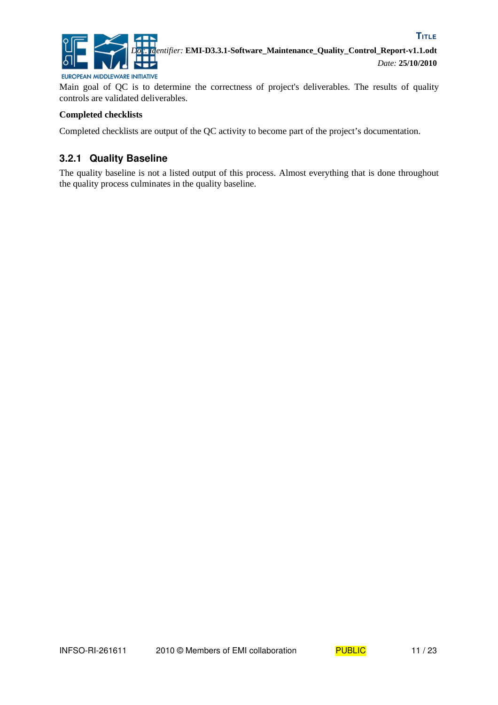

Main goal of QC is to determine the correctness of project's deliverables. The results of quality controls are validated deliverables.

#### **Completed checklists**

Completed checklists are output of the QC activity to become part of the project's documentation.

## **3.2.1 Quality Baseline**

The quality baseline is not a listed output of this process. Almost everything that is done throughout the quality process culminates in the quality baseline.

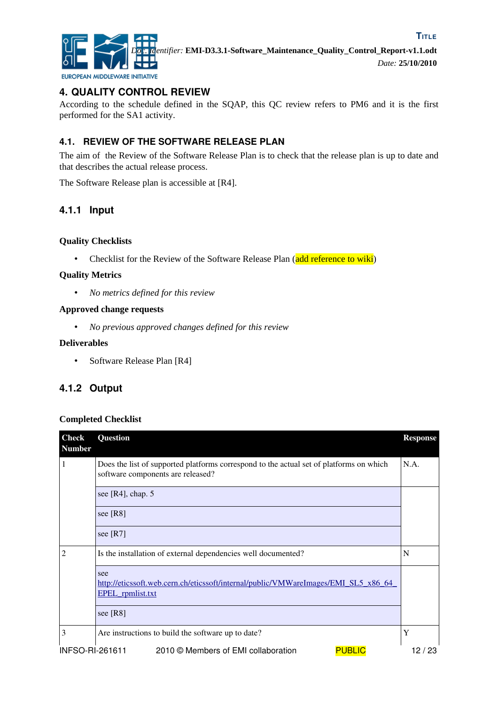

## **4. QUALITY CONTROL REVIEW**

According to the schedule defined in the SQAP, this QC review refers to PM6 and it is the first performed for the SA1 activity.

## **4.1. REVIEW OF THE SOFTWARE RELEASE PLAN**

The aim of the Review of the Software Release Plan is to check that the release plan is up to date and that describes the actual release process.

The Software Release plan is accessible at [\[R4\].](#page-5-2)

## **4.1.1 Input**

#### **Quality Checklists**

• Checklist for the Review of the Software Release Plan (add reference to wiki)

#### **Quality Metrics**

• *No metrics defined for this review*

#### **Approved change requests**

• *No previous approved changes defined for this review*

#### **Deliverables**

• Software Release Plan [\[R4\]](#page-5-2)

## **4.1.2 Output**

#### **Completed Checklist**

| <b>Check</b><br><b>Number</b> | Question                                                                                                                     | <b>Response</b> |
|-------------------------------|------------------------------------------------------------------------------------------------------------------------------|-----------------|
| 1                             | Does the list of supported platforms correspond to the actual set of platforms on which<br>software components are released? | N.A.            |
|                               | see [ $R4$ ], chap. 5                                                                                                        |                 |
|                               | see [R8]                                                                                                                     |                 |
|                               | see $[R7]$                                                                                                                   |                 |
| $\overline{2}$                | Is the installation of external dependencies well documented?                                                                | N               |
|                               | see<br>http://eticssoft.web.cern.ch/eticssoft/internal/public/VMWareImages/EMI_SL5_x86_64_<br><b>EPEL</b> rpmlist.txt        |                 |
|                               | see $[R8]$                                                                                                                   |                 |
| 3                             | Are instructions to build the software up to date?                                                                           | Y               |
| INFSO-RI-261611               | 2010 © Members of EMI collaboration<br><b>PUBLIC</b>                                                                         | 12 / 23         |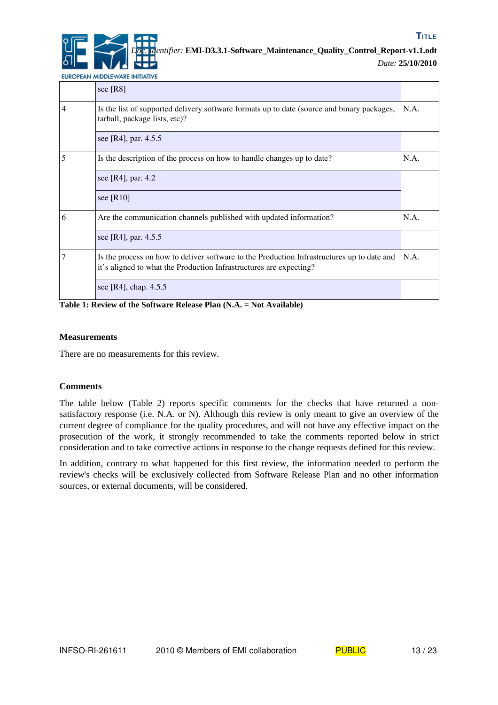*Doc. Identifier:* **EMI-D3.3.1-Software\_Maintenance\_Quality\_Control\_Report-v1.1.odt**

*Date:* **25/10/2010**

EUROPEAN MIDDLEWARE INITIATIVE

|   | see $[R8]$                                                                                                                                                       |      |
|---|------------------------------------------------------------------------------------------------------------------------------------------------------------------|------|
| 4 | Is the list of supported delivery software formats up to date (source and binary packages,<br>tarball, package lists, etc)?                                      | N.A. |
|   | see [R4], par. 4.5.5                                                                                                                                             |      |
| 5 | Is the description of the process on how to handle changes up to date?                                                                                           | N.A. |
|   | see [R4], par. 4.2                                                                                                                                               |      |
|   | see $[R10]$                                                                                                                                                      |      |
| 6 | Are the communication channels published with updated information?                                                                                               | N.A. |
|   | see [R4], par. 4.5.5                                                                                                                                             |      |
| 7 | Is the process on how to deliver software to the Production Infrastructures up to date and<br>it's aligned to what the Production Infrastructures are expecting? | N.A. |
|   | see [R4], chap. $4.5.5$                                                                                                                                          |      |

**Table 1: Review of the Software Release Plan (N.A. = Not Available)**

#### **Measurements**

There are no measurements for this review.

#### **Comments**

The table below [\(Table 2\)](#page-13-0) reports specific comments for the checks that have returned a nonsatisfactory response (i.e. N.A. or N). Although this review is only meant to give an overview of the current degree of compliance for the quality procedures, and will not have any effective impact on the prosecution of the work, it strongly recommended to take the comments reported below in strict consideration and to take corrective actions in response to the change requests defined for this review.

In addition, contrary to what happened for this first review, the information needed to perform the review's checks will be exclusively collected from Software Release Plan and no other information sources, or external documents, will be considered.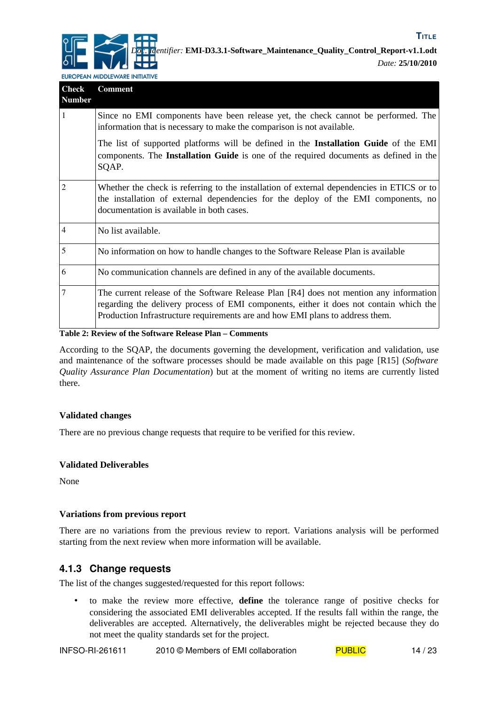

| <b>Check</b><br><b>Number</b> | <b>Comment</b>                                                                                                                                                                                                                                                    |
|-------------------------------|-------------------------------------------------------------------------------------------------------------------------------------------------------------------------------------------------------------------------------------------------------------------|
| $\mathbf{1}$                  | Since no EMI components have been release yet, the check cannot be performed. The<br>information that is necessary to make the comparison is not available.                                                                                                       |
|                               | The list of supported platforms will be defined in the Installation Guide of the EMI<br>components. The Installation Guide is one of the required documents as defined in the<br>SQAP.                                                                            |
| $\overline{2}$                | Whether the check is referring to the installation of external dependencies in ETICS or to<br>the installation of external dependencies for the deploy of the EMI components, no<br>documentation is available in both cases.                                     |
| $\vert 4$                     | No list available.                                                                                                                                                                                                                                                |
| 5                             | No information on how to handle changes to the Software Release Plan is available                                                                                                                                                                                 |
| 6                             | No communication channels are defined in any of the available documents.                                                                                                                                                                                          |
| $\overline{7}$                | The current release of the Software Release Plan [R4] does not mention any information<br>regarding the delivery process of EMI components, either it does not contain which the<br>Production Infrastructure requirements are and how EMI plans to address them. |

<span id="page-13-0"></span>**Table 2: Review of the Software Release Plan – Comments**

According to the SQAP, the documents governing the development, verification and validation, use and maintenance of the software processes should be made available on this page [\[R15\]](#page-5-6) (*Software Quality Assurance Plan Documentation*) but at the moment of writing no items are currently listed there.

#### **Validated changes**

There are no previous change requests that require to be verified for this review.

#### **Validated Deliverables**

None

#### **Variations from previous report**

There are no variations from the previous review to report. Variations analysis will be performed starting from the next review when more information will be available.

## **4.1.3 Change requests**

The list of the changes suggested/requested for this report follows:

• to make the review more effective, **define** the tolerance range of positive checks for considering the associated EMI deliverables accepted. If the results fall within the range, the deliverables are accepted. Alternatively, the deliverables might be rejected because they do not meet the quality standards set for the project.

INFSO-RI-261611 2010 © Members of EMI collaboration  $PUBLIC$  14/23

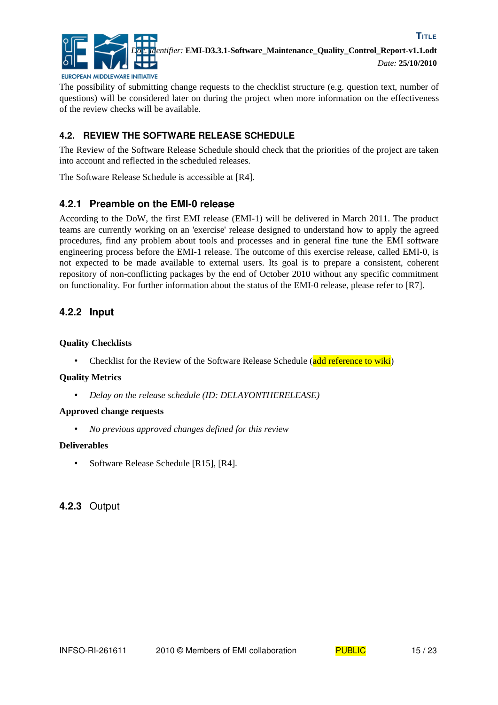

**TITLE**

The possibility of submitting change requests to the checklist structure (e.g. question text, number of questions) will be considered later on during the project when more information on the effectiveness of the review checks will be available.

## **4.2. REVIEW THE SOFTWARE RELEASE SCHEDULE**

The Review of the Software Release Schedule should check that the priorities of the project are taken into account and reflected in the scheduled releases.

The Software Release Schedule is accessible at [\[R4\].](#page-5-2)

## **4.2.1 Preamble on the EMI-0 release**

According to the DoW, the first EMI release (EMI-1) will be delivered in March 2011. The product teams are currently working on an 'exercise' release designed to understand how to apply the agreed procedures, find any problem about tools and processes and in general fine tune the EMI software engineering process before the EMI-1 release. The outcome of this exercise release, called EMI-0, is not expected to be made available to external users. Its goal is to prepare a consistent, coherent repository of non-conflicting packages by the end of October 2010 without any specific commitment on functionality*.* For further information about the status of the EMI-0 release, please refer to [\[R7\].](#page-5-4)

## **4.2.2 Input**

#### **Quality Checklists**

• Checklist for the Review of the Software Release Schedule (add reference to wiki)

#### **Quality Metrics**

• *Delay on the release schedule (ID: DELAYONTHERELEASE)*

#### **Approved change requests**

• *No previous approved changes defined for this review*

#### **Deliverables**

• Software Release Schedule [\[R15\],](#page-5-6) [\[R4\].](#page-5-2)

## **4.2.3** Output

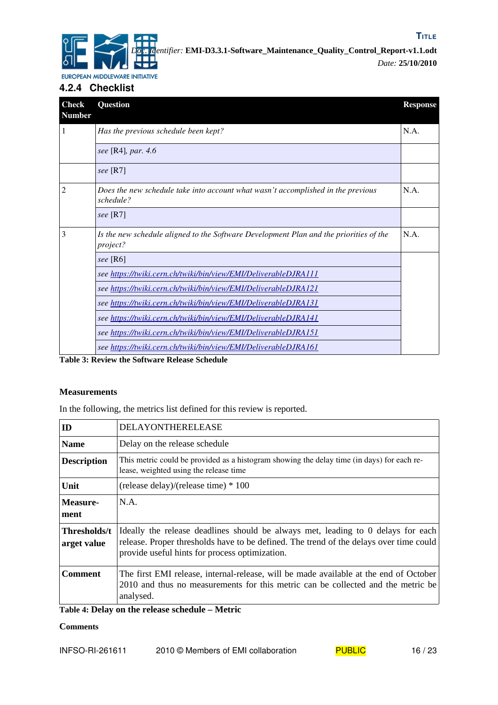

## **4.2.4 Checklist**

| <b>Check</b><br><b>Number</b> | Question                                                                                           | <b>Response</b> |
|-------------------------------|----------------------------------------------------------------------------------------------------|-----------------|
| 1                             | Has the previous schedule been kept?                                                               | N.A.            |
|                               | see [R4], par. 4.6                                                                                 |                 |
|                               | see $[R7]$                                                                                         |                 |
| 2                             | Does the new schedule take into account what wasn't accomplished in the previous<br>schedule?      | N.A.            |
|                               | see $[R7]$                                                                                         |                 |
| 3                             | Is the new schedule aligned to the Software Development Plan and the priorities of the<br>project? | N.A.            |
|                               | see [R6]                                                                                           |                 |
|                               | see https://twiki.cern.ch/twiki/bin/view/EMI/DeliverableDJRA111                                    |                 |
|                               | see https://twiki.cern.ch/twiki/bin/view/EMI/DeliverableDJRA121                                    |                 |
|                               | see https://twiki.cern.ch/twiki/bin/view/EMI/DeliverableDJRA131                                    |                 |
|                               | see https://twiki.cern.ch/twiki/bin/view/EMI/DeliverableDJRA141                                    |                 |
|                               | see https://twiki.cern.ch/twiki/bin/view/EMI/DeliverableDJRA151                                    |                 |
|                               | see https://twiki.cern.ch/twiki/bin/view/EMI/DeliverableDJRA161                                    |                 |

**Table 3: Review the Software Release Schedule**

#### **Measurements**

In the following, the metrics list defined for this review is reported.

| ID                          | DELAYONTHERELEASE                                                                                                                                                                                                            |
|-----------------------------|------------------------------------------------------------------------------------------------------------------------------------------------------------------------------------------------------------------------------|
| <b>Name</b>                 | Delay on the release schedule                                                                                                                                                                                                |
| <b>Description</b>          | This metric could be provided as a histogram showing the delay time (in days) for each re-<br>lease, weighted using the release time                                                                                         |
| Unit                        | (release delay)/(release time) $*100$                                                                                                                                                                                        |
| Measure-<br>ment            | N.A.                                                                                                                                                                                                                         |
| Thresholds/t<br>arget value | Ideally the release deadlines should be always met, leading to 0 delays for each<br>release. Proper thresholds have to be defined. The trend of the delays over time could<br>provide useful hints for process optimization. |
| Comment                     | The first EMI release, internal-release, will be made available at the end of October<br>2010 and thus no measurements for this metric can be collected and the metric be<br>analysed.                                       |

**Table 4: Delay on the release schedule – Metric**

#### **Comments**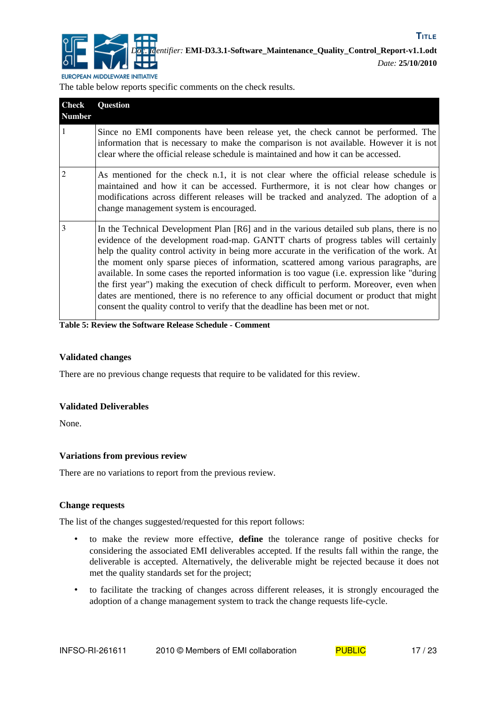

The table below reports specific comments on the check results.

| <b>Check</b><br><b>Number</b> | Question                                                                                                                                                                                                                                                                                                                                                                                                                                                                                                                                                                                                                                                                                                                                            |
|-------------------------------|-----------------------------------------------------------------------------------------------------------------------------------------------------------------------------------------------------------------------------------------------------------------------------------------------------------------------------------------------------------------------------------------------------------------------------------------------------------------------------------------------------------------------------------------------------------------------------------------------------------------------------------------------------------------------------------------------------------------------------------------------------|
| $\mathbf{1}$                  | Since no EMI components have been release yet, the check cannot be performed. The<br>information that is necessary to make the comparison is not available. However it is not<br>clear where the official release schedule is maintained and how it can be accessed.                                                                                                                                                                                                                                                                                                                                                                                                                                                                                |
| $\overline{2}$                | As mentioned for the check n.1, it is not clear where the official release schedule is<br>maintained and how it can be accessed. Furthermore, it is not clear how changes or<br>modifications across different releases will be tracked and analyzed. The adoption of a<br>change management system is encouraged.                                                                                                                                                                                                                                                                                                                                                                                                                                  |
| 3                             | In the Technical Development Plan [R6] and in the various detailed sub plans, there is no<br>evidence of the development road-map. GANTT charts of progress tables will certainly<br>help the quality control activity in being more accurate in the verification of the work. At<br>the moment only sparse pieces of information, scattered among various paragraphs, are<br>available. In some cases the reported information is too vague (i.e. expression like "during<br>the first year") making the execution of check difficult to perform. Moreover, even when<br>dates are mentioned, there is no reference to any official document or product that might<br>consent the quality control to verify that the deadline has been met or not. |

**Table 5: Review the Software Release Schedule - Comment**

#### **Validated changes**

There are no previous change requests that require to be validated for this review.

#### **Validated Deliverables**

None.

#### **Variations from previous review**

There are no variations to report from the previous review.

#### **Change requests**

The list of the changes suggested/requested for this report follows:

- to make the review more effective, **define** the tolerance range of positive checks for considering the associated EMI deliverables accepted. If the results fall within the range, the deliverable is accepted. Alternatively, the deliverable might be rejected because it does not met the quality standards set for the project;
- to facilitate the tracking of changes across different releases, it is strongly encouraged the adoption of a change management system to track the change requests life-cycle.

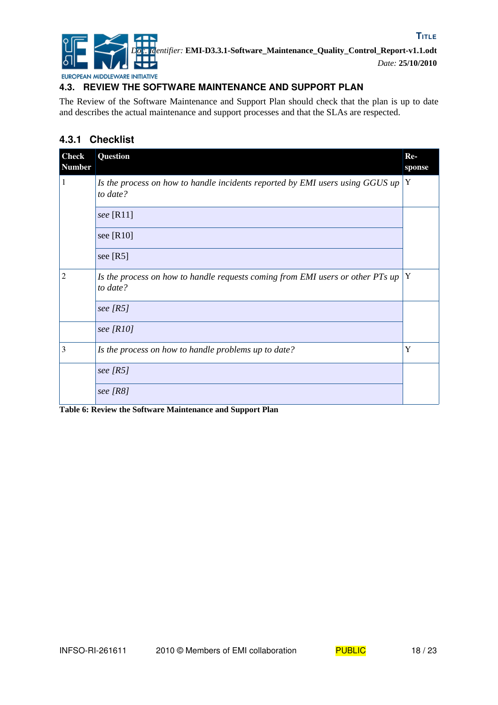

## **4.3. REVIEW THE SOFTWARE MAINTENANCE AND SUPPORT PLAN**

The Review of the Software Maintenance and Support Plan should check that the plan is up to date and describes the actual maintenance and support processes and that the SLAs are respected.

## **4.3.1 Checklist**

| <b>Check</b><br><b>Number</b> | Question                                                                                   | $Re-$<br>sponse |
|-------------------------------|--------------------------------------------------------------------------------------------|-----------------|
| 1                             | Is the process on how to handle incidents reported by EMI users using GGUS up<br>to date?  | Y               |
|                               | see $[R11]$                                                                                |                 |
|                               | see [R10]                                                                                  |                 |
|                               | see $[R5]$                                                                                 |                 |
| $\overline{2}$                | Is the process on how to handle requests coming from EMI users or other PTs up<br>to date? | Y               |
|                               | see $[RS]$                                                                                 |                 |
|                               | see $[R10]$                                                                                |                 |
| 3                             | Is the process on how to handle problems up to date?                                       | Y               |
|                               | see $[RS]$                                                                                 |                 |
|                               | see [R8]                                                                                   |                 |

**Table 6: Review the Software Maintenance and Support Plan**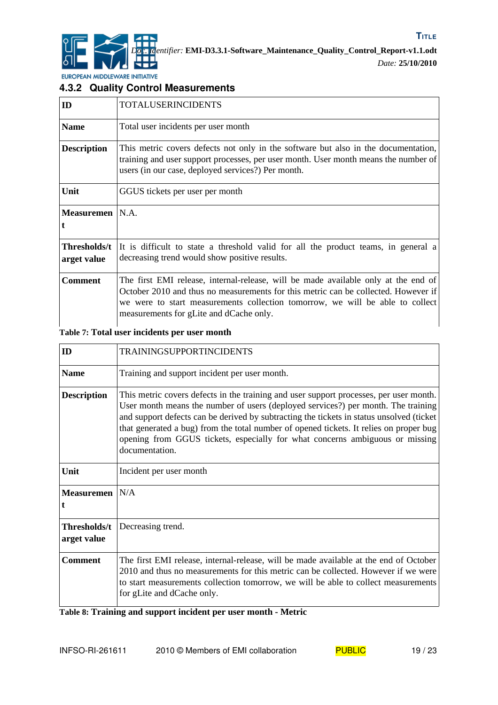

EUROPEAN MIDDLEWARE INITIATIVE

## **4.3.2 Quality Control Measurements**

| ID                          | TOTALUSERINCIDENTS                                                                                                                                                                                                                                                                                   |
|-----------------------------|------------------------------------------------------------------------------------------------------------------------------------------------------------------------------------------------------------------------------------------------------------------------------------------------------|
| <b>Name</b>                 | Total user incidents per user month                                                                                                                                                                                                                                                                  |
| <b>Description</b>          | This metric covers defects not only in the software but also in the documentation,<br>training and user support processes, per user month. User month means the number of<br>users (in our case, deployed services?) Per month.                                                                      |
| Unit                        | GGUS tickets per user per month                                                                                                                                                                                                                                                                      |
| Measuremen   N.A.           |                                                                                                                                                                                                                                                                                                      |
| Thresholds/t<br>arget value | It is difficult to state a threshold valid for all the product teams, in general a<br>decreasing trend would show positive results.                                                                                                                                                                  |
| <b>Comment</b>              | The first EMI release, internal-release, will be made available only at the end of<br>October 2010 and thus no measurements for this metric can be collected. However if<br>we were to start measurements collection tomorrow, we will be able to collect<br>measurements for gLite and dCache only. |

## **Table 7: Total user incidents per user month**

| ID                          | <b>TRAININGSUPPORTINCIDENTS</b>                                                                                                                                                                                                                                                                                                                                                                                                                                     |
|-----------------------------|---------------------------------------------------------------------------------------------------------------------------------------------------------------------------------------------------------------------------------------------------------------------------------------------------------------------------------------------------------------------------------------------------------------------------------------------------------------------|
| <b>Name</b>                 | Training and support incident per user month.                                                                                                                                                                                                                                                                                                                                                                                                                       |
| <b>Description</b>          | This metric covers defects in the training and user support processes, per user month.<br>User month means the number of users (deployed services?) per month. The training<br>and support defects can be derived by subtracting the tickets in status unsolved (ticket<br>that generated a bug) from the total number of opened tickets. It relies on proper bug<br>opening from GGUS tickets, especially for what concerns ambiguous or missing<br>documentation. |
| Unit                        | Incident per user month                                                                                                                                                                                                                                                                                                                                                                                                                                             |
| <b>Measuremen</b>           | N/A                                                                                                                                                                                                                                                                                                                                                                                                                                                                 |
| Thresholds/t<br>arget value | Decreasing trend.                                                                                                                                                                                                                                                                                                                                                                                                                                                   |
| <b>Comment</b>              | The first EMI release, internal-release, will be made available at the end of October<br>2010 and thus no measurements for this metric can be collected. However if we were<br>to start measurements collection tomorrow, we will be able to collect measurements<br>for gLite and dCache only.                                                                                                                                                                     |

**Table 8: Training and support incident per user month - Metric**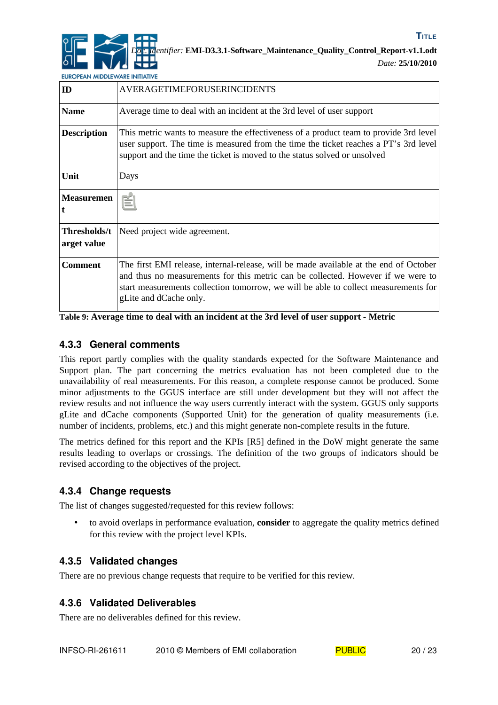

*Date:* **25/10/2010**

**TITLE**

EUROPEAN MIDDLEWARE INITIATIVE

| ID                          | <b>AVERAGETIMEFORUSERINCIDENTS</b>                                                                                                                                                                                                                                                         |
|-----------------------------|--------------------------------------------------------------------------------------------------------------------------------------------------------------------------------------------------------------------------------------------------------------------------------------------|
| <b>Name</b>                 | Average time to deal with an incident at the 3rd level of user support                                                                                                                                                                                                                     |
| <b>Description</b>          | This metric wants to measure the effectiveness of a product team to provide 3rd level<br>user support. The time is measured from the time the ticket reaches a PT's 3rd level<br>support and the time the ticket is moved to the status solved or unsolved                                 |
| Unit                        | Days                                                                                                                                                                                                                                                                                       |
| <b>Measuremen</b>           | N.A.                                                                                                                                                                                                                                                                                       |
| Thresholds/t<br>arget value | Need project wide agreement.                                                                                                                                                                                                                                                               |
| <b>Comment</b>              | The first EMI release, internal-release, will be made available at the end of October<br>and thus no measurements for this metric can be collected. However if we were to<br>start measurements collection tomorrow, we will be able to collect measurements for<br>gLite and dCache only. |

**Table 9: Average time to deal with an incident at the 3rd level of user support - Metric**

## **4.3.3 General comments**

This report partly complies with the quality standards expected for the Software Maintenance and Support plan. The part concerning the metrics evaluation has not been completed due to the unavailability of real measurements. For this reason, a complete response cannot be produced. Some minor adjustments to the GGUS interface are still under development but they will not affect the review results and not influence the way users currently interact with the system. GGUS only supports gLite and dCache components (Supported Unit) for the generation of quality measurements (i.e. number of incidents, problems, etc.) and this might generate non-complete results in the future.

The metrics defined for this report and the KPIs [\[R5\]](#page-5-8) defined in the DoW might generate the same results leading to overlaps or crossings. The definition of the two groups of indicators should be revised according to the objectives of the project.

## **4.3.4 Change requests**

The list of changes suggested/requested for this review follows:

• to avoid overlaps in performance evaluation, **consider** to aggregate the quality metrics defined for this review with the project level KPIs.

## **4.3.5 Validated changes**

There are no previous change requests that require to be verified for this review.

## **4.3.6 Validated Deliverables**

There are no deliverables defined for this review.

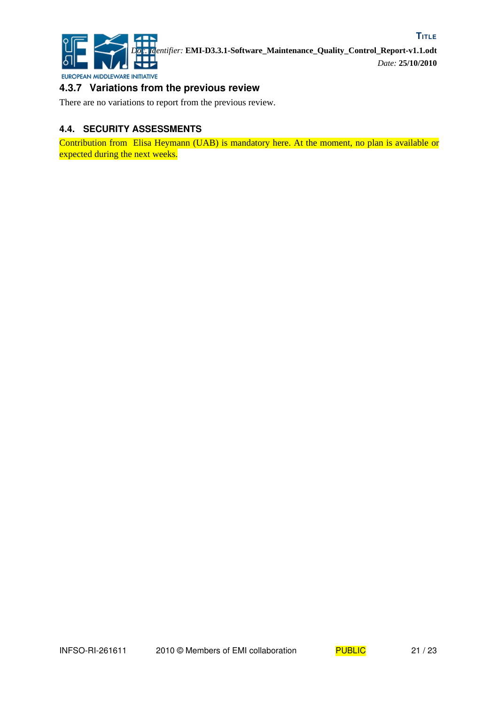

## **4.3.7 Variations from the previous review**

There are no variations to report from the previous review.

## **4.4. SECURITY ASSESSMENTS**

Contribution from Elisa Heymann (UAB) is mandatory here. At the moment, no plan is available or expected during the next weeks.

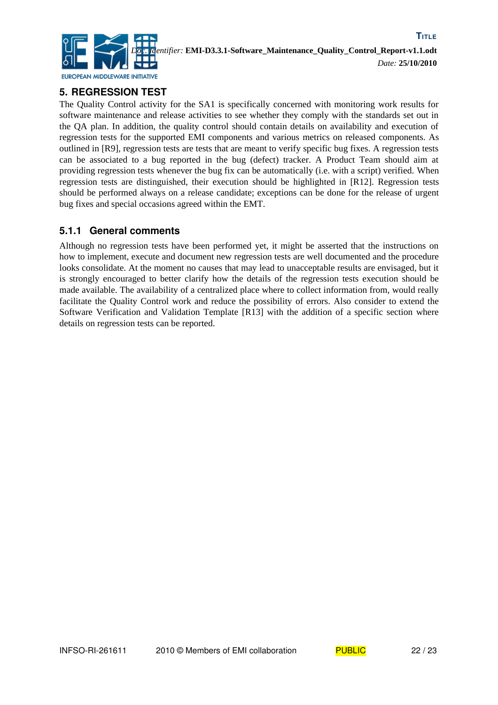

## **5. REGRESSION TEST**

The Quality Control activity for the SA1 is specifically concerned with monitoring work results for software maintenance and release activities to see whether they comply with the standards set out in the QA plan. In addition, the quality control should contain details on availability and execution of regression tests for the supported EMI components and various metrics on released components. As outlined in [\[R9\],](#page-5-12) regression tests are tests that are meant to verify specific bug fixes. A regression tests can be associated to a bug reported in the bug (defect) tracker. A Product Team should aim at providing regression tests whenever the bug fix can be automatically (i.e. with a script) verified. When regression tests are distinguished, their execution should be highlighted in [\[R12\].](#page-5-11) Regression tests should be performed always on a release candidate; exceptions can be done for the release of urgent bug fixes and special occasions agreed within the EMT.

## **5.1.1 General comments**

Although no regression tests have been performed yet, it might be asserted that the instructions on how to implement, execute and document new regression tests are well documented and the procedure looks consolidate. At the moment no causes that may lead to unacceptable results are envisaged, but it is strongly encouraged to better clarify how the details of the regression tests execution should be made available. The availability of a centralized place where to collect information from, would really facilitate the Quality Control work and reduce the possibility of errors. Also consider to extend the Software Verification and Validation Template [\[R13\]](#page-5-10) with the addition of a specific section where details on regression tests can be reported.